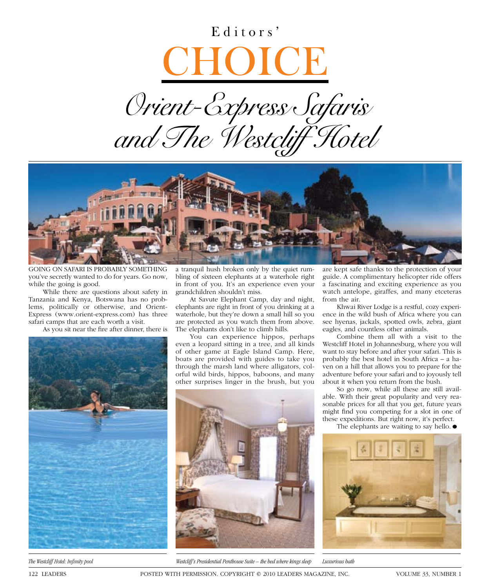## Editors'





going on saFari is probably something you've secretly wanted to do for years. Go now, while the going is good.

while there are questions about safety in Tanzania and Kenya, Botswana has no problems, politically or otherwise, and Orient-Express (www.orient-express.com) has three safari camps that are each worth a visit.

As you sit near the fire after dinner, there is



a tranquil hush broken only by the quiet rumbling of sixteen elephants at a waterhole right in front of you. it's an experience even your grandchildren shouldn't miss.

At Savute Elephant Camp, day and night, elephants are right in front of you drinking at a waterhole, but they're down a small hill so you are protected as you watch them from above. The elephants don't like to climb hills.

You can experience hippos, perhaps even a leopard sitting in a tree, and all kinds of other game at Eagle Island Camp. Here, boats are provided with guides to take you through the marsh land where alligators, colorful wild birds, hippos, baboons, and many other surprises linger in the brush, but you



*The Westcliff Hotel: Infi nity pool Westcliff's Presidential Penthouse Suite – the bed where kings sleep Luxurious bath*

are kept safe thanks to the protection of your guide. a complimentary helicopter ride offers a fascinating and exciting experience as you watch antelope, giraffes, and many etceteras from the air.

Khwai River Lodge is a restful, cozy experience in the wild bush of africa where you can see hyenas, jackals, spotted owls, zebra, giant eagles, and countless other animals.

combine them all with a visit to the westcliff hotel in Johannesburg, where you will want to stay before and after your safari. This is probably the best hotel in south africa – a haven on a hill that allows you to prepare for the adventure before your safari and to joyously tell about it when you return from the bush.

so go now, while all these are still available. with their great popularity and very reasonable prices for all that you get, future years might find you competing for a slot in one of these expeditions. but right now, it's perfect.

The elephants are waiting to say hello.  $\bullet$